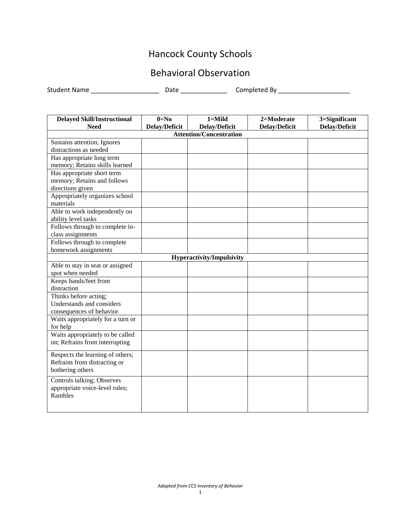## Hancock County Schools

## Behavioral Observation

Student Name \_\_\_\_\_\_\_\_\_\_\_\_\_\_\_\_\_\_\_ Date \_\_\_\_\_\_\_\_\_\_\_\_\_ Completed By \_\_\_\_\_\_\_\_\_\_\_\_\_\_\_\_\_\_\_\_

| <b>Delayed Skill/Instructional</b>                                 | $0=N0$               | $1 =$ Mild                       | 2=Moderate           | 3=Significant        |  |
|--------------------------------------------------------------------|----------------------|----------------------------------|----------------------|----------------------|--|
| <b>Need</b>                                                        | <b>Delay/Deficit</b> | <b>Delay/Deficit</b>             | <b>Delay/Deficit</b> | <b>Delay/Deficit</b> |  |
| <b>Attention/Concentration</b>                                     |                      |                                  |                      |                      |  |
| Sustains attention; Ignores                                        |                      |                                  |                      |                      |  |
| distractions as needed                                             |                      |                                  |                      |                      |  |
| Has appropriate long term                                          |                      |                                  |                      |                      |  |
| memory; Retains skills learned                                     |                      |                                  |                      |                      |  |
| Has appropriate short term                                         |                      |                                  |                      |                      |  |
| memory; Retains and follows                                        |                      |                                  |                      |                      |  |
| directions given                                                   |                      |                                  |                      |                      |  |
| Appropriately organizes school                                     |                      |                                  |                      |                      |  |
| materials                                                          |                      |                                  |                      |                      |  |
| Able to work independently on                                      |                      |                                  |                      |                      |  |
| ability level tasks                                                |                      |                                  |                      |                      |  |
| Follows through to complete in-                                    |                      |                                  |                      |                      |  |
| class assignments                                                  |                      |                                  |                      |                      |  |
| Follows through to complete                                        |                      |                                  |                      |                      |  |
| homework assignments                                               |                      |                                  |                      |                      |  |
|                                                                    |                      | <b>Hyperactivity/Impulsivity</b> |                      |                      |  |
| Able to stay in seat or assigned                                   |                      |                                  |                      |                      |  |
| spot when needed                                                   |                      |                                  |                      |                      |  |
| Keeps hands/feet from                                              |                      |                                  |                      |                      |  |
| distraction                                                        |                      |                                  |                      |                      |  |
| Thinks before acting;                                              |                      |                                  |                      |                      |  |
| Understands and considers                                          |                      |                                  |                      |                      |  |
| consequences of behavior                                           |                      |                                  |                      |                      |  |
| Waits appropriately for a turn or                                  |                      |                                  |                      |                      |  |
| for help                                                           |                      |                                  |                      |                      |  |
| Waits appropriately to be called<br>on; Refrains from interrupting |                      |                                  |                      |                      |  |
|                                                                    |                      |                                  |                      |                      |  |
| Respects the learning of others;                                   |                      |                                  |                      |                      |  |
| Refrains from distracting or                                       |                      |                                  |                      |                      |  |
| bothering others                                                   |                      |                                  |                      |                      |  |
| Controls talking; Observes                                         |                      |                                  |                      |                      |  |
| appropriate voice-level rules;                                     |                      |                                  |                      |                      |  |
| Rambles                                                            |                      |                                  |                      |                      |  |
|                                                                    |                      |                                  |                      |                      |  |
|                                                                    |                      |                                  |                      |                      |  |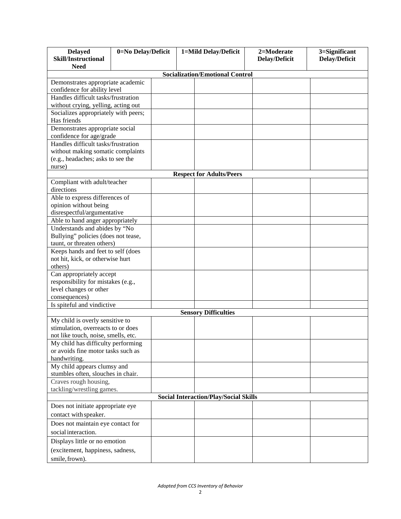| <b>Delayed</b><br><b>Skill/Instructional</b>                          | 0=No Delay/Deficit | 1=Mild Delay/Deficit |  | 2=Moderate<br><b>Delay/Deficit</b> | 3=Significant<br><b>Delay/Deficit</b> |  |  |
|-----------------------------------------------------------------------|--------------------|----------------------|--|------------------------------------|---------------------------------------|--|--|
| <b>Need</b>                                                           |                    |                      |  |                                    |                                       |  |  |
| <b>Socialization/Emotional Control</b>                                |                    |                      |  |                                    |                                       |  |  |
| Demonstrates appropriate academic                                     |                    |                      |  |                                    |                                       |  |  |
| confidence for ability level                                          |                    |                      |  |                                    |                                       |  |  |
| Handles difficult tasks/frustration                                   |                    |                      |  |                                    |                                       |  |  |
| without crying, yelling, acting out                                   |                    |                      |  |                                    |                                       |  |  |
| Socializes appropriately with peers;                                  |                    |                      |  |                                    |                                       |  |  |
| Has friends                                                           |                    |                      |  |                                    |                                       |  |  |
| Demonstrates appropriate social                                       |                    |                      |  |                                    |                                       |  |  |
| confidence for age/grade                                              |                    |                      |  |                                    |                                       |  |  |
| Handles difficult tasks/frustration                                   |                    |                      |  |                                    |                                       |  |  |
| without making somatic complaints                                     |                    |                      |  |                                    |                                       |  |  |
| (e.g., headaches; asks to see the                                     |                    |                      |  |                                    |                                       |  |  |
| nurse)                                                                |                    |                      |  |                                    |                                       |  |  |
|                                                                       |                    |                      |  | <b>Respect for Adults/Peers</b>    |                                       |  |  |
| Compliant with adult/teacher<br>directions                            |                    |                      |  |                                    |                                       |  |  |
| Able to express differences of                                        |                    |                      |  |                                    |                                       |  |  |
| opinion without being                                                 |                    |                      |  |                                    |                                       |  |  |
| disrespectful/argumentative                                           |                    |                      |  |                                    |                                       |  |  |
| Able to hand anger appropriately                                      |                    |                      |  |                                    |                                       |  |  |
| Understands and abides by "No                                         |                    |                      |  |                                    |                                       |  |  |
| Bullying" policies (does not tease,                                   |                    |                      |  |                                    |                                       |  |  |
| taunt, or threaten others)                                            |                    |                      |  |                                    |                                       |  |  |
| Keeps hands and feet to self (does                                    |                    |                      |  |                                    |                                       |  |  |
| not hit, kick, or otherwise hurt                                      |                    |                      |  |                                    |                                       |  |  |
| others)                                                               |                    |                      |  |                                    |                                       |  |  |
| Can appropriately accept                                              |                    |                      |  |                                    |                                       |  |  |
| responsibility for mistakes (e.g.,                                    |                    |                      |  |                                    |                                       |  |  |
| level changes or other                                                |                    |                      |  |                                    |                                       |  |  |
| consequences)                                                         |                    |                      |  |                                    |                                       |  |  |
| Is spiteful and vindictive                                            |                    |                      |  |                                    |                                       |  |  |
|                                                                       |                    |                      |  | <b>Sensory Difficulties</b>        |                                       |  |  |
| My child is overly sensitive to<br>stimulation, overreacts to or does |                    |                      |  |                                    |                                       |  |  |
| not like touch, noise, smells, etc.                                   |                    |                      |  |                                    |                                       |  |  |
| My child has difficulty performing                                    |                    |                      |  |                                    |                                       |  |  |
| or avoids fine motor tasks such as                                    |                    |                      |  |                                    |                                       |  |  |
| handwriting.                                                          |                    |                      |  |                                    |                                       |  |  |
| My child appears clumsy and                                           |                    |                      |  |                                    |                                       |  |  |
| stumbles often, slouches in chair.                                    |                    |                      |  |                                    |                                       |  |  |
| Craves rough housing,                                                 |                    |                      |  |                                    |                                       |  |  |
| tackling/wrestling games.                                             |                    |                      |  |                                    |                                       |  |  |
| <b>Social Interaction/Play/Social Skills</b>                          |                    |                      |  |                                    |                                       |  |  |
| Does not initiate appropriate eye                                     |                    |                      |  |                                    |                                       |  |  |
| contact with speaker.                                                 |                    |                      |  |                                    |                                       |  |  |
| Does not maintain eye contact for                                     |                    |                      |  |                                    |                                       |  |  |
| social interaction.                                                   |                    |                      |  |                                    |                                       |  |  |
| Displays little or no emotion                                         |                    |                      |  |                                    |                                       |  |  |
| (excitement, happiness, sadness,                                      |                    |                      |  |                                    |                                       |  |  |
| smile, frown).                                                        |                    |                      |  |                                    |                                       |  |  |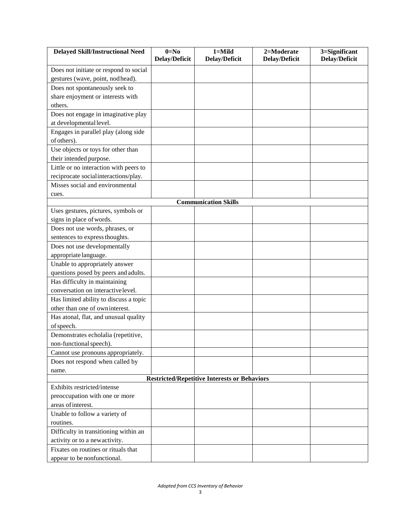| <b>Delayed Skill/Instructional Need</b>                             | $0=N0$<br>Delay/Deficit | $1 =$ Mild<br><b>Delay/Deficit</b> | 2=Moderate<br>Delay/Deficit | 3=Significant<br><b>Delay/Deficit</b> |  |  |  |
|---------------------------------------------------------------------|-------------------------|------------------------------------|-----------------------------|---------------------------------------|--|--|--|
|                                                                     |                         |                                    |                             |                                       |  |  |  |
| Does not initiate or respond to social                              |                         |                                    |                             |                                       |  |  |  |
| gestures (wave, point, nodhead).                                    |                         |                                    |                             |                                       |  |  |  |
| Does not spontaneously seek to<br>share enjoyment or interests with |                         |                                    |                             |                                       |  |  |  |
| others.                                                             |                         |                                    |                             |                                       |  |  |  |
| Does not engage in imaginative play                                 |                         |                                    |                             |                                       |  |  |  |
| at developmental level.                                             |                         |                                    |                             |                                       |  |  |  |
| Engages in parallel play (along side                                |                         |                                    |                             |                                       |  |  |  |
| of others).                                                         |                         |                                    |                             |                                       |  |  |  |
| Use objects or toys for other than                                  |                         |                                    |                             |                                       |  |  |  |
| their intended purpose.                                             |                         |                                    |                             |                                       |  |  |  |
| Little or no interaction with peers to                              |                         |                                    |                             |                                       |  |  |  |
| reciprocate social interactions/play.                               |                         |                                    |                             |                                       |  |  |  |
| Misses social and environmental                                     |                         |                                    |                             |                                       |  |  |  |
|                                                                     |                         |                                    |                             |                                       |  |  |  |
| cues.                                                               |                         | <b>Communication Skills</b>        |                             |                                       |  |  |  |
| Uses gestures, pictures, symbols or                                 |                         |                                    |                             |                                       |  |  |  |
| signs in place of words.                                            |                         |                                    |                             |                                       |  |  |  |
| Does not use words, phrases, or                                     |                         |                                    |                             |                                       |  |  |  |
| sentences to express thoughts.                                      |                         |                                    |                             |                                       |  |  |  |
| Does not use developmentally                                        |                         |                                    |                             |                                       |  |  |  |
| appropriate language.                                               |                         |                                    |                             |                                       |  |  |  |
| Unable to appropriately answer                                      |                         |                                    |                             |                                       |  |  |  |
| questions posed by peers and adults.                                |                         |                                    |                             |                                       |  |  |  |
| Has difficulty in maintaining                                       |                         |                                    |                             |                                       |  |  |  |
| conversation on interactive level.                                  |                         |                                    |                             |                                       |  |  |  |
| Has limited ability to discuss a topic                              |                         |                                    |                             |                                       |  |  |  |
| other than one of own interest.                                     |                         |                                    |                             |                                       |  |  |  |
| Has atonal, flat, and unusual quality                               |                         |                                    |                             |                                       |  |  |  |
| of speech.                                                          |                         |                                    |                             |                                       |  |  |  |
| Demonstrates echolalia (repetitive,                                 |                         |                                    |                             |                                       |  |  |  |
| non-functional speech).                                             |                         |                                    |                             |                                       |  |  |  |
| Cannot use pronouns appropriately.                                  |                         |                                    |                             |                                       |  |  |  |
| Does not respond when called by                                     |                         |                                    |                             |                                       |  |  |  |
| name.                                                               |                         |                                    |                             |                                       |  |  |  |
| <b>Restricted/Repetitive Interests or Behaviors</b>                 |                         |                                    |                             |                                       |  |  |  |
| Exhibits restricted/intense                                         |                         |                                    |                             |                                       |  |  |  |
| preoccupation with one or more                                      |                         |                                    |                             |                                       |  |  |  |
| areas of interest.                                                  |                         |                                    |                             |                                       |  |  |  |
| Unable to follow a variety of                                       |                         |                                    |                             |                                       |  |  |  |
| routines.                                                           |                         |                                    |                             |                                       |  |  |  |
| Difficulty in transitioning within an                               |                         |                                    |                             |                                       |  |  |  |
| activity or to a new activity.                                      |                         |                                    |                             |                                       |  |  |  |
| Fixates on routines or rituals that                                 |                         |                                    |                             |                                       |  |  |  |
| appear to be nonfunctional.                                         |                         |                                    |                             |                                       |  |  |  |